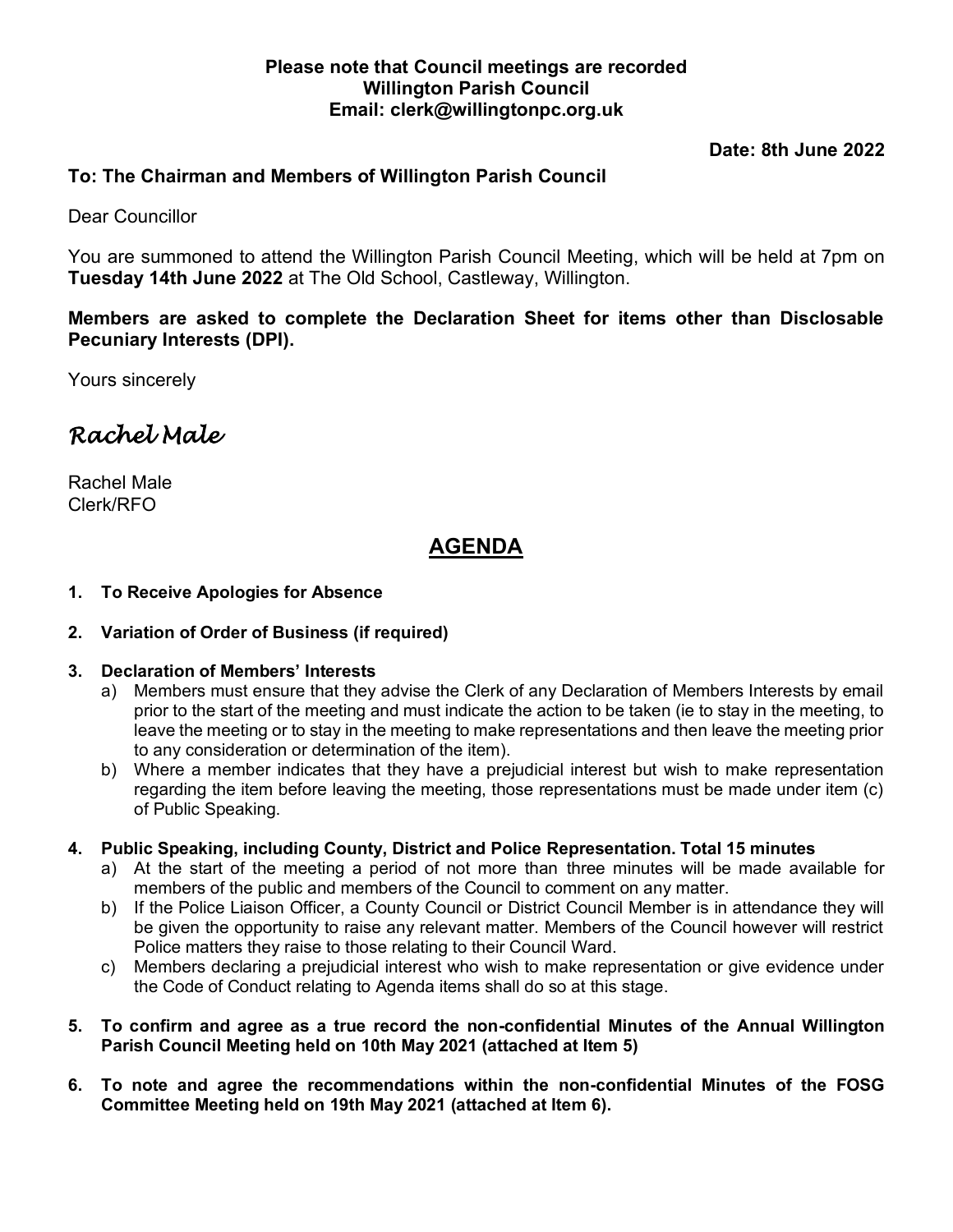### **Please note that Council meetings are recorded Willington Parish Council Email: clerk@willingtonpc.org.uk**

**Date: 8th June 2022**

# **To: The Chairman and Members of Willington Parish Council**

Dear Councillor

You are summoned to attend the Willington Parish Council Meeting, which will be held at 7pm on **Tuesday 14th June 2022** at The Old School, Castleway, Willington.

**Members are asked to complete the Declaration Sheet for items other than Disclosable Pecuniary Interests (DPI).**

Yours sincerely

# *Rachel Male*

Rachel Male Clerk/RFO

# **AGENDA**

#### **1. To Receive Apologies for Absence**

#### **2. Variation of Order of Business (if required)**

#### **3. Declaration of Members' Interests**

- a) Members must ensure that they advise the Clerk of any Declaration of Members Interests by email prior to the start of the meeting and must indicate the action to be taken (ie to stay in the meeting, to leave the meeting or to stay in the meeting to make representations and then leave the meeting prior to any consideration or determination of the item).
- b) Where a member indicates that they have a prejudicial interest but wish to make representation regarding the item before leaving the meeting, those representations must be made under item (c) of Public Speaking.

#### **4. Public Speaking, including County, District and Police Representation. Total 15 minutes**

- a) At the start of the meeting a period of not more than three minutes will be made available for members of the public and members of the Council to comment on any matter.
- b) If the Police Liaison Officer, a County Council or District Council Member is in attendance they will be given the opportunity to raise any relevant matter. Members of the Council however will restrict Police matters they raise to those relating to their Council Ward.
- c) Members declaring a prejudicial interest who wish to make representation or give evidence under the Code of Conduct relating to Agenda items shall do so at this stage.

#### **5. To confirm and agree as a true record the non-confidential Minutes of the Annual Willington Parish Council Meeting held on 10th May 2021 (attached at Item 5)**

**6. To note and agree the recommendations within the non-confidential Minutes of the FOSG Committee Meeting held on 19th May 2021 (attached at Item 6).**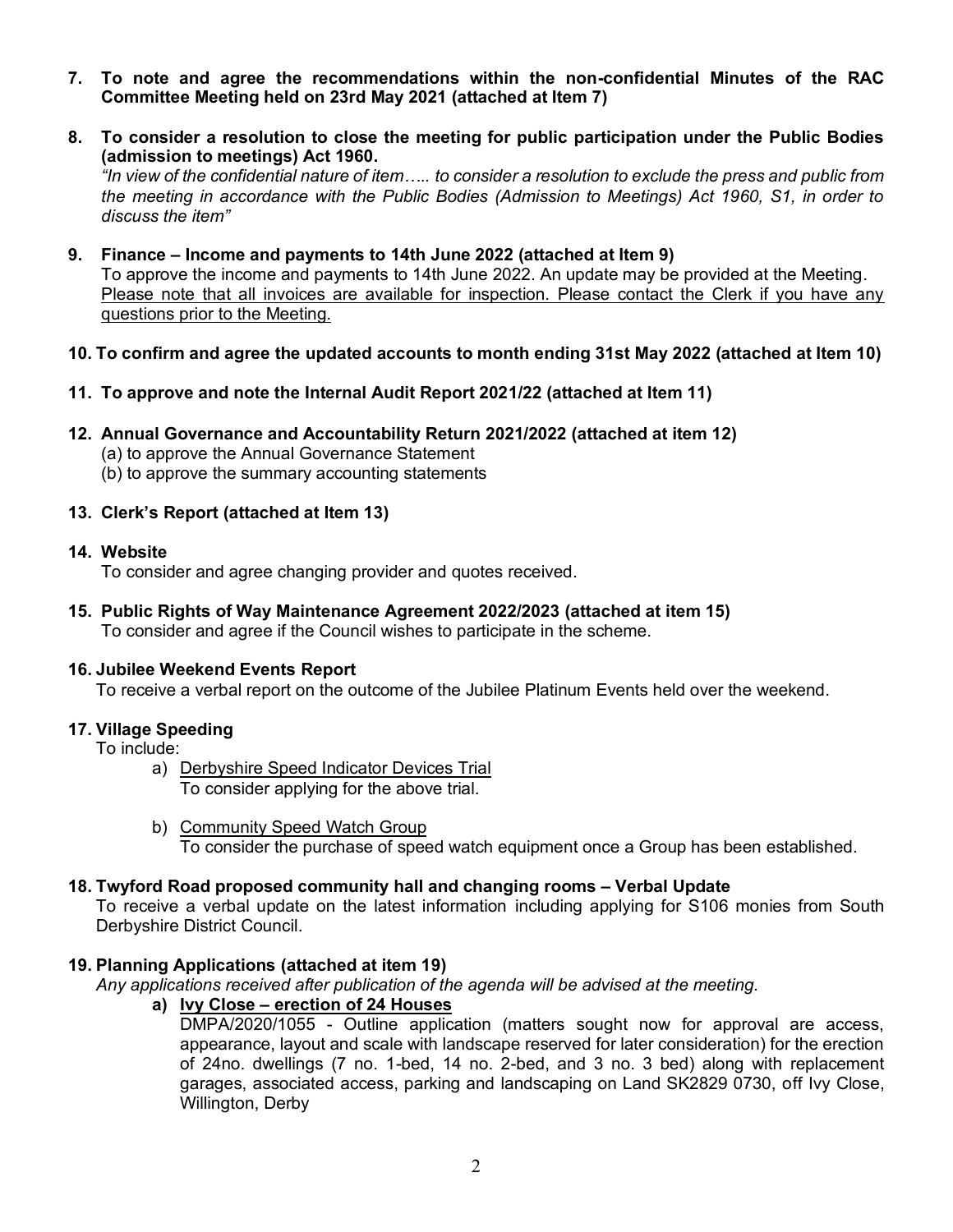- **7. To note and agree the recommendations within the non-confidential Minutes of the RAC Committee Meeting held on 23rd May 2021 (attached at Item 7)**
- **8. To consider a resolution to close the meeting for public participation under the Public Bodies (admission to meetings) Act 1960.**

*"In view of the confidential nature of item….. to consider a resolution to exclude the press and public from the meeting in accordance with the Public Bodies (Admission to Meetings) Act 1960, S1, in order to discuss the item"*

**9. Finance – Income and payments to 14th June 2022 (attached at Item 9)** To approve the income and payments to 14th June 2022. An update may be provided at the Meeting. Please note that all invoices are available for inspection. Please contact the Clerk if you have any questions prior to the Meeting.

#### **10. To confirm and agree the updated accounts to month ending 31st May 2022 (attached at Item 10)**

- **11. To approve and note the Internal Audit Report 2021/22 (attached at Item 11)**
- **12. Annual Governance and Accountability Return 2021/2022 (attached at item 12)** (a) to approve the Annual Governance Statement (b) to approve the summary accounting statements

#### **13. Clerk's Report (attached at Item 13)**

#### **14. Website**

To consider and agree changing provider and quotes received.

**15. Public Rights of Way Maintenance Agreement 2022/2023 (attached at item 15)** To consider and agree if the Council wishes to participate in the scheme.

#### **16. Jubilee Weekend Events Report**

To receive a verbal report on the outcome of the Jubilee Platinum Events held over the weekend.

#### **17. Village Speeding**

To include:

- a) Derbyshire Speed Indicator Devices Trial To consider applying for the above trial.
- b) Community Speed Watch Group To consider the purchase of speed watch equipment once a Group has been established.

#### **18. Twyford Road proposed community hall and changing rooms – Verbal Update**

To receive a verbal update on the latest information including applying for S106 monies from South Derbyshire District Council.

#### **19. Planning Applications (attached at item 19)**

*Any applications received after publication of the agenda will be advised at the meeting.*

**a) Ivy Close – erection of 24 Houses**

DMPA/2020/1055 - Outline application (matters sought now for approval are access, appearance, layout and scale with landscape reserved for later consideration) for the erection of 24no. dwellings (7 no. 1-bed, 14 no. 2-bed, and 3 no. 3 bed) along with replacement garages, associated access, parking and landscaping on Land SK2829 0730, off Ivy Close, Willington, Derby